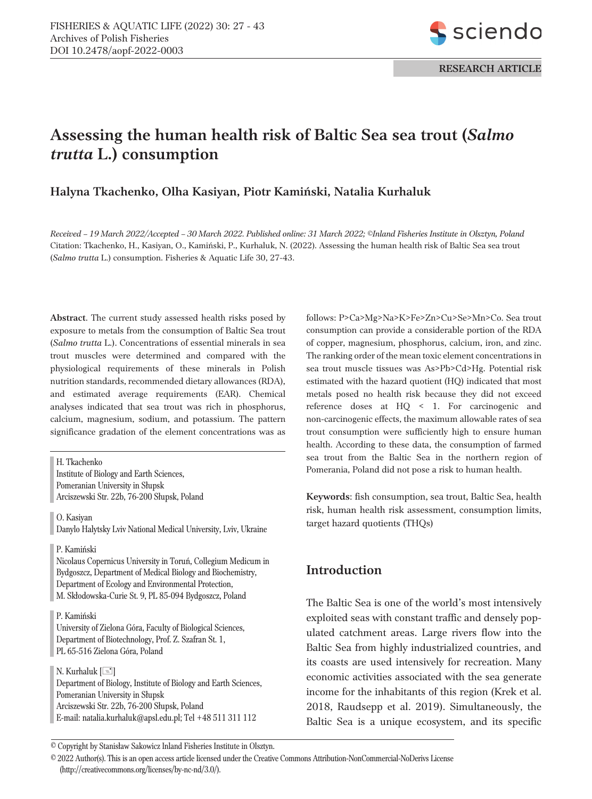

# **Assessing the human health risk of Baltic Sea sea trout (***Salmo trutta* **L.) consumption**

**Halyna Tkachenko, Olha Kasiyan, Piotr Kamiñski, Natalia Kurhaluk**

*Received – 19 March 2022/Accepted – 30 March 2022. Published online: 31 March 2022; ©Inland Fisheries Institute in Olsztyn, Poland* Citation: Tkachenko, H., Kasiyan, O., Kamiñski, P., Kurhaluk, N. (2022). Assessing the human health risk of Baltic Sea sea trout (*Salmo trutta* L.) consumption. Fisheries & Aquatic Life 30, 27-43.

**Abstract**. The current study assessed health risks posed by exposure to metals from the consumption of Baltic Sea trout (*Salmo trutta* L.). Concentrations of essential minerals in sea trout muscles were determined and compared with the physiological requirements of these minerals in Polish nutrition standards, recommended dietary allowances (RDA), and estimated average requirements (EAR). Chemical analyses indicated that sea trout was rich in phosphorus, calcium, magnesium, sodium, and potassium. The pattern significance gradation of the element concentrations was as

H. Tkachenko Institute of Biology and Earth Sciences, Pomeranian University in Słupsk Arciszewski Str. 22b, 76-200 Słupsk, Poland

O. Kasiyan Danylo Halytsky Lviv National Medical University, Lviv, Ukraine

#### P. Kamiñski

Nicolaus Copernicus University in Toruñ, Collegium Medicum in Bydgoszcz, Department of Medical Biology and Biochemistry, Department of Ecology and Environmental Protection, M. Skłodowska-Curie St. 9, PL 85-094 Bydgoszcz, Poland

#### P. Kamiñski

University of Zielona Góra, Faculty of Biological Sciences, Department of Biotechnology, Prof. Z. Szafran St. 1, PL 65-516 Zielona Góra, Poland

N. Kurhaluk  $\lceil \equiv \rceil$ Department of Biology, Institute of Biology and Earth Sciences, Pomeranian University in Słupsk Arciszewski Str. 22b, 76-200 Słupsk, Poland E-mail: natalia.kurhaluk@apsl.edu.pl; Tel +48 511 311 112

follows: P>Ca>Mg>Na>K>Fe>Zn>Cu>Se>Mn>Co. Sea trout consumption can provide a considerable portion of the RDA of copper, magnesium, phosphorus, calcium, iron, and zinc. The ranking order of the mean toxic element concentrations in sea trout muscle tissues was As>Pb>Cd>Hg. Potential risk estimated with the hazard quotient (HQ) indicated that most metals posed no health risk because they did not exceed reference doses at HQ < 1. For carcinogenic and non-carcinogenic effects, the maximum allowable rates of sea trout consumption were sufficiently high to ensure human health. According to these data, the consumption of farmed sea trout from the Baltic Sea in the northern region of Pomerania, Poland did not pose a risk to human health.

**Keywords**: fish consumption, sea trout, Baltic Sea, health risk, human health risk assessment, consumption limits, target hazard quotients (THQs)

# **Introduction**

The Baltic Sea is one of the world's most intensively exploited seas with constant traffic and densely populated catchment areas. Large rivers flow into the Baltic Sea from highly industrialized countries, and its coasts are used intensively for recreation. Many economic activities associated with the sea generate income for the inhabitants of this region (Krek et al. 2018, Raudsepp et al. 2019). Simultaneously, the Baltic Sea is a unique ecosystem, and its specific

© Copyright by Stanis³aw Sakowicz Inland Fisheries Institute in Olsztyn.

© 2022 Author(s). This is an open access article licensed under the Creative Commons Attribution-NonCommercial-NoDerivs License (http://creativecommons.org/licenses/by-nc-nd/3.0/).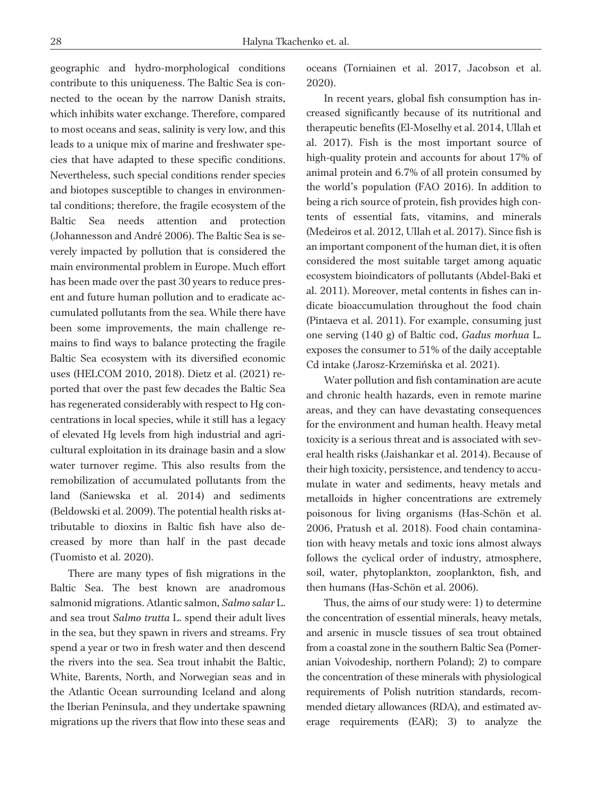geographic and hydro-morphological conditions contribute to this uniqueness. The Baltic Sea is connected to the ocean by the narrow Danish straits, which inhibits water exchange. Therefore, compared to most oceans and seas, salinity is very low, and this leads to a unique mix of marine and freshwater species that have adapted to these specific conditions. Nevertheless, such special conditions render species and biotopes susceptible to changes in environmental conditions; therefore, the fragile ecosystem of the Baltic Sea needs attention and protection (Johannesson and André 2006). The Baltic Sea is severely impacted by pollution that is considered the main environmental problem in Europe. Much effort has been made over the past 30 years to reduce present and future human pollution and to eradicate accumulated pollutants from the sea. While there have been some improvements, the main challenge remains to find ways to balance protecting the fragile Baltic Sea ecosystem with its diversified economic uses (HELCOM 2010, 2018). Dietz et al. (2021) reported that over the past few decades the Baltic Sea has regenerated considerably with respect to Hg concentrations in local species, while it still has a legacy of elevated Hg levels from high industrial and agricultural exploitation in its drainage basin and a slow water turnover regime. This also results from the remobilization of accumulated pollutants from the land (Saniewska et al. 2014) and sediments (Beldowski et al. 2009). The potential health risks attributable to dioxins in Baltic fish have also decreased by more than half in the past decade (Tuomisto et al. 2020).

There are many types of fish migrations in the Baltic Sea. The best known are anadromous salmonid migrations. Atlantic salmon, *Salmo salar* L. and sea trout *Salmo trutta* L. spend their adult lives in the sea, but they spawn in rivers and streams. Fry spend a year or two in fresh water and then descend the rivers into the sea. Sea trout inhabit the Baltic, White, Barents, North, and Norwegian seas and in the Atlantic Ocean surrounding Iceland and along the Iberian Peninsula, and they undertake spawning migrations up the rivers that flow into these seas and oceans (Torniainen et al. 2017, Jacobson et al. 2020).

In recent years, global fish consumption has increased significantly because of its nutritional and therapeutic benefits (El-Moselhy et al. 2014, Ullah et al. 2017). Fish is the most important source of high-quality protein and accounts for about 17% of animal protein and 6.7% of all protein consumed by the world's population (FAO 2016). In addition to being a rich source of protein, fish provides high contents of essential fats, vitamins, and minerals (Medeiros et al. 2012, Ullah et al. 2017). Since fish is an important component of the human diet, it is often considered the most suitable target among aquatic ecosystem bioindicators of pollutants (Abdel-Baki et al. 2011). Moreover, metal contents in fishes can indicate bioaccumulation throughout the food chain (Pintaeva et al. 2011). For example, consuming just one serving (140 g) of Baltic cod, *Gadus morhua* L. exposes the consumer to 51% of the daily acceptable Cd intake (Jarosz-Krzemiñska et al. 2021).

Water pollution and fish contamination are acute and chronic health hazards, even in remote marine areas, and they can have devastating consequences for the environment and human health. Heavy metal toxicity is a serious threat and is associated with several health risks (Jaishankar et al. 2014). Because of their high toxicity, persistence, and tendency to accumulate in water and sediments, heavy metals and metalloids in higher concentrations are extremely poisonous for living organisms (Has-Schön et al. 2006, Pratush et al. 2018). Food chain contamination with heavy metals and toxic ions almost always follows the cyclical order of industry, atmosphere, soil, water, phytoplankton, zooplankton, fish, and then humans (Has-Schön et al. 2006).

Thus, the aims of our study were: 1) to determine the concentration of essential minerals, heavy metals, and arsenic in muscle tissues of sea trout obtained from a coastal zone in the southern Baltic Sea (Pomeranian Voivodeship, northern Poland); 2) to compare the concentration of these minerals with physiological requirements of Polish nutrition standards, recommended dietary allowances (RDA), and estimated average requirements (EAR); 3) to analyze the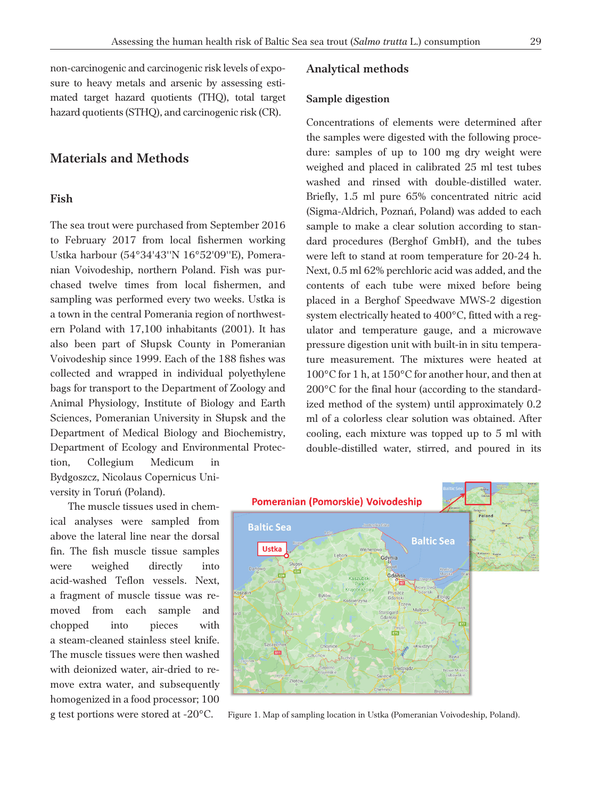non-carcinogenic and carcinogenic risk levels of exposure to heavy metals and arsenic by assessing estimated target hazard quotients (THQ), total target hazard quotients (STHQ), and carcinogenic risk (CR).

# **Materials and Methods**

#### **Fish**

The sea trout were purchased from September 2016 to February 2017 from local fishermen working Ustka harbour (54°34'43''N 16°52'09''E), Pomeranian Voivodeship, northern Poland. Fish was purchased twelve times from local fishermen, and sampling was performed every two weeks. Ustka is a town in the central Pomerania region of northwestern Poland with 17,100 inhabitants (2001). It has also been part of Słupsk County in Pomeranian Voivodeship since 1999. Each of the 188 fishes was collected and wrapped in individual polyethylene bags for transport to the Department of Zoology and Animal Physiology, Institute of Biology and Earth Sciences, Pomeranian University in Słupsk and the Department of Medical Biology and Biochemistry, Department of Ecology and Environmental Protection, Collegium Medicum in

Bydgoszcz, Nicolaus Copernicus University in Toruñ (Poland).

The muscle tissues used in chemical analyses were sampled from above the lateral line near the dorsal fin. The fish muscle tissue samples were weighed directly into acid-washed Teflon vessels. Next, a fragment of muscle tissue was removed from each sample and chopped into pieces with a steam-cleaned stainless steel knife. The muscle tissues were then washed with deionized water, air-dried to remove extra water, and subsequently homogenized in a food processor; 100 g test portions were stored at -20°C.

#### **Analytical methods**

#### **Sample digestion**

Concentrations of elements were determined after the samples were digested with the following procedure: samples of up to 100 mg dry weight were weighed and placed in calibrated 25 ml test tubes washed and rinsed with double-distilled water. Briefly, 1.5 ml pure 65% concentrated nitric acid (Sigma-Aldrich, Poznañ, Poland) was added to each sample to make a clear solution according to standard procedures (Berghof GmbH), and the tubes were left to stand at room temperature for 20-24 h. Next, 0.5 ml 62% perchloric acid was added, and the contents of each tube were mixed before being placed in a Berghof Speedwave MWS-2 digestion system electrically heated to 400°C, fitted with a regulator and temperature gauge, and a microwave pressure digestion unit with built-in in situ temperature measurement. The mixtures were heated at 100°C for 1 h, at 150°C for another hour, and then at 200°C for the final hour (according to the standardized method of the system) until approximately 0.2 ml of a colorless clear solution was obtained. After cooling, each mixture was topped up to 5 ml with double-distilled water, stirred, and poured in its



Figure 1. Map of sampling location in Ustka (Pomeranian Voivodeship, Poland).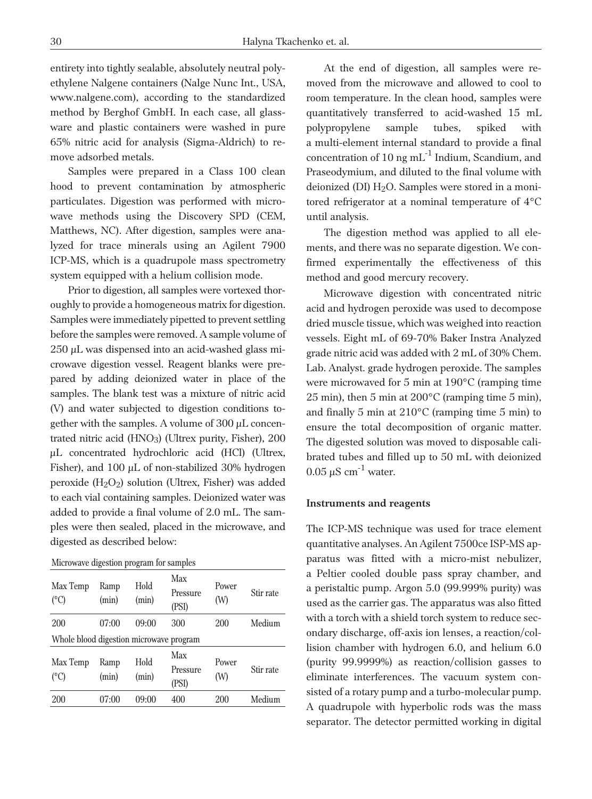entirety into tightly sealable, absolutely neutral polyethylene Nalgene containers (Nalge Nunc Int., USA, www.nalgene.com), according to the standardized method by Berghof GmbH. In each case, all glassware and plastic containers were washed in pure 65% nitric acid for analysis (Sigma-Aldrich) to remove adsorbed metals.

Samples were prepared in a Class 100 clean hood to prevent contamination by atmospheric particulates. Digestion was performed with microwave methods using the Discovery SPD (CEM, Matthews, NC). After digestion, samples were analyzed for trace minerals using an Agilent 7900 ICP-MS, which is a quadrupole mass spectrometry system equipped with a helium collision mode.

Prior to digestion, all samples were vortexed thoroughly to provide a homogeneous matrix for digestion. Samples were immediately pipetted to prevent settling before the samples were removed. A sample volume of 250 µL was dispensed into an acid-washed glass microwave digestion vessel. Reagent blanks were prepared by adding deionized water in place of the samples. The blank test was a mixture of nitric acid (V) and water subjected to digestion conditions together with the samples. A volume of 300 µL concentrated nitric acid (HNO3) (Ultrex purity, Fisher), 200 µL concentrated hydrochloric acid (HCl) (Ultrex, Fisher), and  $100 \mu L$  of non-stabilized 30% hydrogen peroxide (H2O2) solution (Ultrex, Fisher) was added to each vial containing samples. Deionized water was added to provide a final volume of 2.0 mL. The samples were then sealed, placed in the microwave, and digested as described below:

Microwave digestion program for samples

| Max Temp<br>(°C)                        | Ramp<br>(min) | Hold<br>(min) | Max<br>Pressure<br>(PSI) | Power<br>(W) | Stir rate |
|-----------------------------------------|---------------|---------------|--------------------------|--------------|-----------|
| 200                                     | 07:00         | 09:00         | 300                      | 200          | Medium    |
| Whole blood digestion microwave program |               |               |                          |              |           |
| Max Temp<br>(°C)                        | Ramp<br>(min) | Hold<br>(min) | Max<br>Pressure<br>(PSI) | Power<br>(W) | Stir rate |
| 200                                     | 07:00         | 09:00         | 400                      | 200          | Medium    |

At the end of digestion, all samples were removed from the microwave and allowed to cool to room temperature. In the clean hood, samples were quantitatively transferred to acid-washed 15 mL polypropylene sample tubes, spiked with a multi-element internal standard to provide a final concentration of 10 ng  $mL^{-1}$  Indium, Scandium, and Praseodymium, and diluted to the final volume with deionized (DI)  $H<sub>2</sub>O$ . Samples were stored in a monitored refrigerator at a nominal temperature of 4°C until analysis.

The digestion method was applied to all elements, and there was no separate digestion. We confirmed experimentally the effectiveness of this method and good mercury recovery.

Microwave digestion with concentrated nitric acid and hydrogen peroxide was used to decompose dried muscle tissue, which was weighed into reaction vessels. Eight mL of 69-70% Baker Instra Analyzed grade nitric acid was added with 2 mL of 30% Chem. Lab. Analyst. grade hydrogen peroxide. The samples were microwaved for 5 min at 190°C (ramping time 25 min), then 5 min at 200°C (ramping time 5 min), and finally 5 min at 210°C (ramping time 5 min) to ensure the total decomposition of organic matter. The digested solution was moved to disposable calibrated tubes and filled up to 50 mL with deionized  $0.05 \text{ uS cm}^{-1}$  water.

#### **Instruments and reagents**

The ICP-MS technique was used for trace element quantitative analyses. An Agilent 7500ce ISP-MS apparatus was fitted with a micro-mist nebulizer, a Peltier cooled double pass spray chamber, and a peristaltic pump. Argon 5.0 (99.999% purity) was used as the carrier gas. The apparatus was also fitted with a torch with a shield torch system to reduce secondary discharge, off-axis ion lenses, a reaction/collision chamber with hydrogen 6.0, and helium 6.0 (purity 99.9999%) as reaction/collision gasses to eliminate interferences. The vacuum system consisted of a rotary pump and a turbo-molecular pump. A quadrupole with hyperbolic rods was the mass separator. The detector permitted working in digital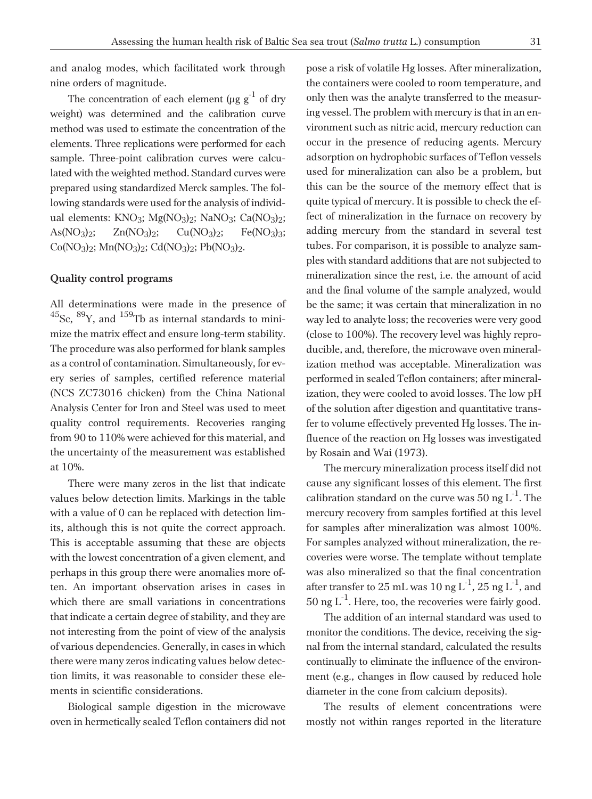and analog modes, which facilitated work through nine orders of magnitude.

The concentration of each element ( $\mu$ g g<sup>-1</sup> of dry weight) was determined and the calibration curve method was used to estimate the concentration of the elements. Three replications were performed for each sample. Three-point calibration curves were calculated with the weighted method. Standard curves were prepared using standardized Merck samples. The following standards were used for the analysis of individual elements:  $KNO_3$ ;  $Mg(NO_3)_2$ ;  $NaNO_3$ ;  $Ca(NO_3)_2$ ; As( $NO<sub>3</sub>$ )<sub>2</sub>; Zn( $NO<sub>3</sub>$ )<sub>2</sub>; Cu( $NO<sub>3</sub>$ )<sub>2</sub>; Fe( $NO<sub>3</sub>$ )<sub>3</sub>;  $Co(NO<sub>3</sub>)<sub>2</sub>; Mn(NO<sub>3</sub>)<sub>2</sub>; Cd(NO<sub>3</sub>)<sub>2</sub>; Pb(NO<sub>3</sub>)<sub>2</sub>.$ 

#### **Quality control programs**

All determinations were made in the presence of  $^{45}$ Sc,  $^{89}$ Y, and  $^{159}$ Tb as internal standards to minimize the matrix effect and ensure long-term stability. The procedure was also performed for blank samples as a control of contamination. Simultaneously, for every series of samples, certified reference material (NCS ZC73016 chicken) from the China National Analysis Center for Iron and Steel was used to meet quality control requirements. Recoveries ranging from 90 to 110% were achieved for this material, and the uncertainty of the measurement was established at 10%.

There were many zeros in the list that indicate values below detection limits. Markings in the table with a value of 0 can be replaced with detection limits, although this is not quite the correct approach. This is acceptable assuming that these are objects with the lowest concentration of a given element, and perhaps in this group there were anomalies more often. An important observation arises in cases in which there are small variations in concentrations that indicate a certain degree of stability, and they are not interesting from the point of view of the analysis of various dependencies. Generally, in cases in which there were many zeros indicating values below detection limits, it was reasonable to consider these elements in scientific considerations.

Biological sample digestion in the microwave oven in hermetically sealed Teflon containers did not pose a risk of volatile Hg losses. After mineralization, the containers were cooled to room temperature, and only then was the analyte transferred to the measuring vessel. The problem with mercury is that in an environment such as nitric acid, mercury reduction can occur in the presence of reducing agents. Mercury adsorption on hydrophobic surfaces of Teflon vessels used for mineralization can also be a problem, but this can be the source of the memory effect that is quite typical of mercury. It is possible to check the effect of mineralization in the furnace on recovery by adding mercury from the standard in several test tubes. For comparison, it is possible to analyze samples with standard additions that are not subjected to mineralization since the rest, i.e. the amount of acid and the final volume of the sample analyzed, would be the same; it was certain that mineralization in no way led to analyte loss; the recoveries were very good (close to 100%). The recovery level was highly reproducible, and, therefore, the microwave oven mineralization method was acceptable. Mineralization was performed in sealed Teflon containers; after mineralization, they were cooled to avoid losses. The low pH of the solution after digestion and quantitative transfer to volume effectively prevented Hg losses. The influence of the reaction on Hg losses was investigated by Rosain and Wai (1973).

The mercury mineralization process itself did not cause any significant losses of this element. The first calibration standard on the curve was 50 ng  $L^{-1}$ . The mercury recovery from samples fortified at this level for samples after mineralization was almost 100%. For samples analyzed without mineralization, the recoveries were worse. The template without template was also mineralized so that the final concentration after transfer to 25 mL was 10 ng  $L^{-1}$ , 25 ng  $L^{-1}$ , and  $50$  ng  $L^{-1}$ . Here, too, the recoveries were fairly good.

The addition of an internal standard was used to monitor the conditions. The device, receiving the signal from the internal standard, calculated the results continually to eliminate the influence of the environment (e.g., changes in flow caused by reduced hole diameter in the cone from calcium deposits).

The results of element concentrations were mostly not within ranges reported in the literature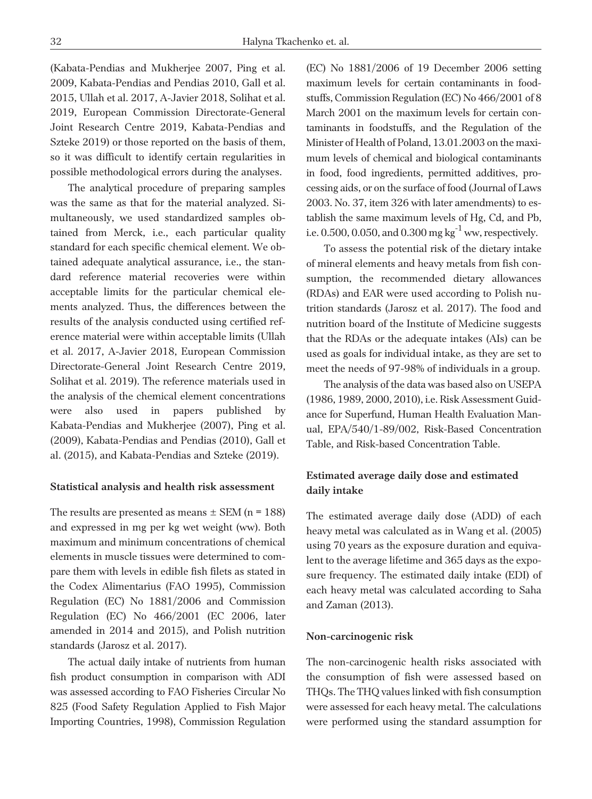(Kabata-Pendias and Mukherjee 2007, Ping et al. 2009, Kabata-Pendias and Pendias 2010, Gall et al. 2015, Ullah et al. 2017, A-Javier 2018, Solihat et al. 2019, European Commission Directorate-General Joint Research Centre 2019, Kabata-Pendias and Szteke 2019) or those reported on the basis of them, so it was difficult to identify certain regularities in possible methodological errors during the analyses.

The analytical procedure of preparing samples was the same as that for the material analyzed. Simultaneously, we used standardized samples obtained from Merck, i.e., each particular quality standard for each specific chemical element. We obtained adequate analytical assurance, i.e., the standard reference material recoveries were within acceptable limits for the particular chemical elements analyzed. Thus, the differences between the results of the analysis conducted using certified reference material were within acceptable limits (Ullah et al. 2017, A-Javier 2018, European Commission Directorate-General Joint Research Centre 2019, Solihat et al. 2019). The reference materials used in the analysis of the chemical element concentrations were also used in papers published by Kabata-Pendias and Mukherjee (2007), Ping et al. (2009), Kabata-Pendias and Pendias (2010), Gall et al. (2015), and Kabata-Pendias and Szteke (2019).

#### **Statistical analysis and health risk assessment**

The results are presented as means  $\pm$  SEM (n = 188) and expressed in mg per kg wet weight (ww). Both maximum and minimum concentrations of chemical elements in muscle tissues were determined to compare them with levels in edible fish filets as stated in the Codex Alimentarius (FAO 1995), Commission Regulation (EC) No 1881/2006 and Commission Regulation (EC) No 466/2001 (EC 2006, later amended in 2014 and 2015), and Polish nutrition standards (Jarosz et al. 2017).

The actual daily intake of nutrients from human fish product consumption in comparison with ADI was assessed according to FAO Fisheries Circular No 825 (Food Safety Regulation Applied to Fish Major Importing Countries, 1998), Commission Regulation (EC) No 1881/2006 of 19 December 2006 setting maximum levels for certain contaminants in foodstuffs, Commission Regulation (EC) No 466/2001 of 8 March 2001 on the maximum levels for certain contaminants in foodstuffs, and the Regulation of the Minister of Health of Poland, 13.01.2003 on the maximum levels of chemical and biological contaminants in food, food ingredients, permitted additives, processing aids, or on the surface of food (Journal of Laws 2003. No. 37, item 326 with later amendments) to establish the same maximum levels of Hg, Cd, and Pb, i.e. 0.500, 0.050, and 0.300 mg  $\text{kg}^{-1}$  ww, respectively.

To assess the potential risk of the dietary intake of mineral elements and heavy metals from fish consumption, the recommended dietary allowances (RDAs) and EAR were used according to Polish nutrition standards (Jarosz et al. 2017). The food and nutrition board of the Institute of Medicine suggests that the RDAs or the adequate intakes (AIs) can be used as goals for individual intake, as they are set to meet the needs of 97-98% of individuals in a group.

The analysis of the data was based also on USEPA (1986, 1989, 2000, 2010), i.e. Risk Assessment Guidance for Superfund, Human Health Evaluation Manual, EPA/540/1-89/002, Risk-Based Concentration Table, and Risk-based Concentration Table.

### **Estimated average daily dose and estimated daily intake**

The estimated average daily dose (ADD) of each heavy metal was calculated as in Wang et al. (2005) using 70 years as the exposure duration and equivalent to the average lifetime and 365 days as the exposure frequency. The estimated daily intake (EDI) of each heavy metal was calculated according to Saha and Zaman (2013).

#### **Non-carcinogenic risk**

The non-carcinogenic health risks associated with the consumption of fish were assessed based on THQs. The THQ values linked with fish consumption were assessed for each heavy metal. The calculations were performed using the standard assumption for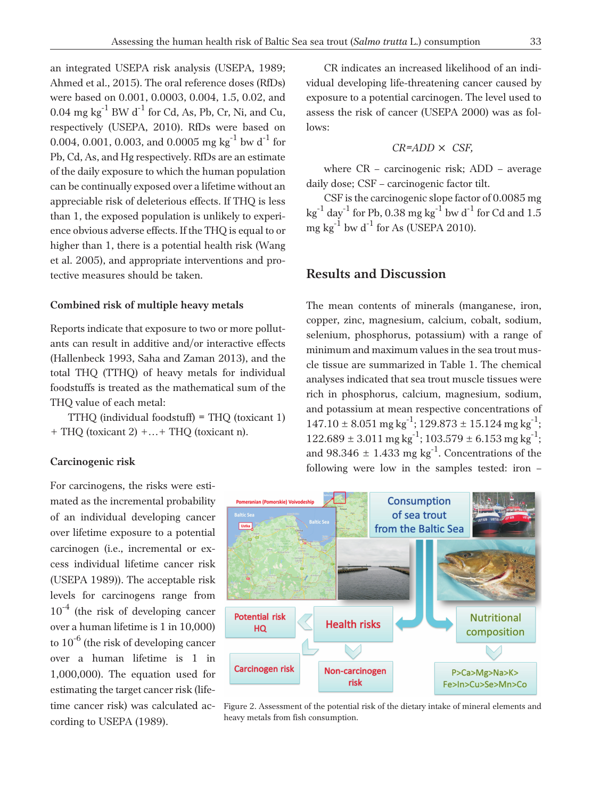an integrated USEPA risk analysis (USEPA, 1989; Ahmed et al., 2015). The oral reference doses (RfDs) were based on 0.001, 0.0003, 0.004, 1.5, 0.02, and  $0.04$  mg kg<sup>-1</sup> BW d<sup>-1</sup> for Cd, As, Pb, Cr, Ni, and Cu, respectively (USEPA, 2010). RfDs were based on 0.004, 0.001, 0.003, and 0.0005 mg  $\text{kg}^{-1}$  bw d<sup>-1</sup> for Pb, Cd, As, and Hg respectively. RfDs are an estimate of the daily exposure to which the human population can be continually exposed over a lifetime without an appreciable risk of deleterious effects. If THQ is less than 1, the exposed population is unlikely to experience obvious adverse effects. If the THQ is equal to or higher than 1, there is a potential health risk (Wang et al. 2005), and appropriate interventions and protective measures should be taken.

#### **Combined risk of multiple heavy metals**

Reports indicate that exposure to two or more pollutants can result in additive and/or interactive effects (Hallenbeck 1993, Saha and Zaman 2013), and the total THQ (TTHQ) of heavy metals for individual foodstuffs is treated as the mathematical sum of the THQ value of each metal:

TTHQ (individual foodstuff) = THQ (toxicant 1) + THQ (toxicant 2) +…+ THQ (toxicant n).

#### **Carcinogenic risk**

For carcinogens, the risks were estimated as the incremental probability of an individual developing cancer over lifetime exposure to a potential carcinogen (i.e., incremental or excess individual lifetime cancer risk (USEPA 1989)). The acceptable risk levels for carcinogens range from  $10^{-4}$  (the risk of developing cancer over a human lifetime is 1 in 10,000) to  $10^{-6}$  (the risk of developing cancer over a human lifetime is 1 in 1,000,000). The equation used for estimating the target cancer risk (lifetime cancer risk) was calculated according to USEPA (1989).

CR indicates an increased likelihood of an individual developing life-threatening cancer caused by exposure to a potential carcinogen. The level used to assess the risk of cancer (USEPA 2000) was as follows:

$$
CR = ADD \times \text{CSF},
$$

where CR – carcinogenic risk; ADD – average daily dose; CSF – carcinogenic factor tilt.

CSF is the carcinogenic slope factor of 0.0085 mg kg<sup>-1</sup> day<sup>-1</sup> for Pb, 0.38 mg kg<sup>-1</sup> bw d<sup>-1</sup> for Cd and 1.5 mg kg<sup>-1</sup> bw d<sup>-1</sup> for As (USEPA 2010).

# **Results and Discussion**

The mean contents of minerals (manganese, iron, copper, zinc, magnesium, calcium, cobalt, sodium, selenium, phosphorus, potassium) with a range of minimum and maximum values in the sea trout muscle tissue are summarized in Table 1. The chemical analyses indicated that sea trout muscle tissues were rich in phosphorus, calcium, magnesium, sodium, and potassium at mean respective concentrations of  $147.10 \pm 8.051$  mg kg<sup>-1</sup>; 129.873  $\pm$  15.124 mg kg<sup>-1</sup>;  $122.689 \pm 3.011$  mg kg<sup>-1</sup>; 103.579  $\pm$  6.153 mg kg<sup>-1</sup>; and 98.346  $\pm$  1.433 mg kg<sup>-1</sup>. Concentrations of the following were low in the samples tested: iron –



Figure 2. Assessment of the potential risk of the dietary intake of mineral elements and heavy metals from fish consumption.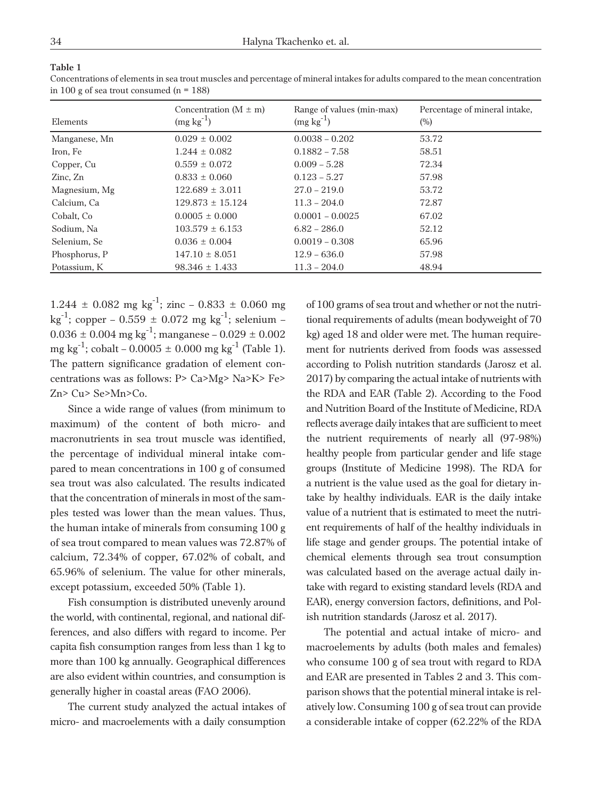| × |  |
|---|--|
|   |  |

| Elements      | Concentration $(M \pm m)$<br>$(mg kg^{-1})$ | Range of values (min-max)<br>$(mg kg^{-1})$ | Percentage of mineral intake,<br>(%) |
|---------------|---------------------------------------------|---------------------------------------------|--------------------------------------|
| Manganese, Mn | $0.029 \pm 0.002$                           | $0.0038 - 0.202$                            | 53.72                                |
| Iron, Fe      | $1.244 \pm 0.082$                           | $0.1882 - 7.58$                             | 58.51                                |
| Copper, Cu    | $0.559 \pm 0.072$                           | $0.009 - 5.28$                              | 72.34                                |
| Zinc, Zn      | $0.833 \pm 0.060$                           | $0.123 - 5.27$                              | 57.98                                |
| Magnesium, Mg | $122.689 \pm 3.011$                         | $27.0 - 219.0$                              | 53.72                                |
| Calcium, Ca   | $129.873 \pm 15.124$                        | $11.3 - 204.0$                              | 72.87                                |
| Cobalt, Co    | $0.0005 \pm 0.000$                          | $0.0001 - 0.0025$                           | 67.02                                |
| Sodium, Na    | $103.579 \pm 6.153$                         | $6.82 - 286.0$                              | 52.12                                |
| Selenium, Se  | $0.036 \pm 0.004$                           | $0.0019 - 0.308$                            | 65.96                                |
| Phosphorus, P | $147.10 \pm 8.051$                          | $12.9 - 636.0$                              | 57.98                                |
| Potassium, K  | $98.346 \pm 1.433$                          | $11.3 - 204.0$                              | 48.94                                |

**Table 1**

Concentrations of elements in sea trout muscles and percentage of mineral intakes for adults compared to the mean concentration in 100 g of sea trout consumed ( $n = 188$ )

 $1.244 \pm 0.082$  mg kg<sup>-1</sup>; zinc – 0.833  $\pm$  0.060 mg  $kg^{-1}$ ; copper – 0.559  $\pm$  0.072 mg kg<sup>-1</sup>; selenium –  $0.036 \pm 0.004$  mg kg<sup>-1</sup>; manganese –  $0.029 \pm 0.002$ mg kg<sup>-1</sup>; cobalt – 0.0005  $\pm$  0.000 mg kg<sup>-1</sup> (Table 1). The pattern significance gradation of element concentrations was as follows: P> Ca>Mg> Na>K> Fe> Zn> Cu> Se>Mn>Co.

Since a wide range of values (from minimum to maximum) of the content of both micro- and macronutrients in sea trout muscle was identified, the percentage of individual mineral intake compared to mean concentrations in 100 g of consumed sea trout was also calculated. The results indicated that the concentration of minerals in most of the samples tested was lower than the mean values. Thus, the human intake of minerals from consuming 100 g of sea trout compared to mean values was 72.87% of calcium, 72.34% of copper, 67.02% of cobalt, and 65.96% of selenium. The value for other minerals, except potassium, exceeded 50% (Table 1).

Fish consumption is distributed unevenly around the world, with continental, regional, and national differences, and also differs with regard to income. Per capita fish consumption ranges from less than 1 kg to more than 100 kg annually. Geographical differences are also evident within countries, and consumption is generally higher in coastal areas (FAO 2006).

The current study analyzed the actual intakes of micro- and macroelements with a daily consumption

of 100 grams of sea trout and whether or not the nutritional requirements of adults (mean bodyweight of 70 kg) aged 18 and older were met. The human requirement for nutrients derived from foods was assessed according to Polish nutrition standards (Jarosz et al. 2017) by comparing the actual intake of nutrients with the RDA and EAR (Table 2). According to the Food and Nutrition Board of the Institute of Medicine, RDA reflects average daily intakes that are sufficient to meet the nutrient requirements of nearly all (97-98%) healthy people from particular gender and life stage groups (Institute of Medicine 1998). The RDA for a nutrient is the value used as the goal for dietary intake by healthy individuals. EAR is the daily intake value of a nutrient that is estimated to meet the nutrient requirements of half of the healthy individuals in life stage and gender groups. The potential intake of chemical elements through sea trout consumption was calculated based on the average actual daily intake with regard to existing standard levels (RDA and EAR), energy conversion factors, definitions, and Polish nutrition standards (Jarosz et al. 2017).

The potential and actual intake of micro- and macroelements by adults (both males and females) who consume 100 g of sea trout with regard to RDA and EAR are presented in Tables 2 and 3. This comparison shows that the potential mineral intake is relatively low. Consuming 100 g of sea trout can provide a considerable intake of copper (62.22% of the RDA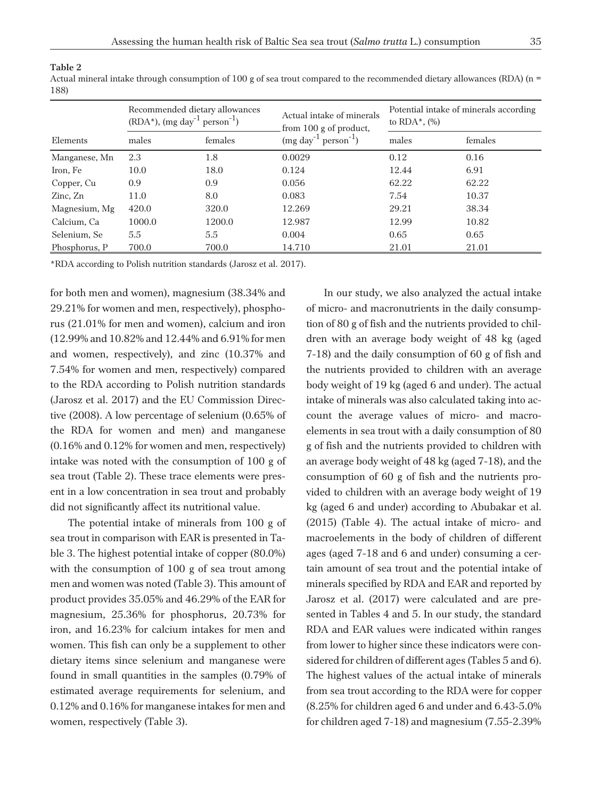| 1001          |                                                                           |         |                                                     |                                                               |         |
|---------------|---------------------------------------------------------------------------|---------|-----------------------------------------------------|---------------------------------------------------------------|---------|
|               | Recommended dietary allowances<br>$(RDA^*)$ , $(mg day^{-1} person^{-1})$ |         | Actual intake of minerals<br>from 100 g of product, | Potential intake of minerals according<br>to $RDA^*$ , $(\%)$ |         |
| Elements      | males                                                                     | females | $(mg day^{-1} person^{-1})$                         | males                                                         | females |
| Manganese, Mn | 2.3                                                                       | 1.8     | 0.0029                                              | 0.12                                                          | 0.16    |
| Iron, Fe      | 10.0                                                                      | 18.0    | 0.124                                               | 12.44                                                         | 6.91    |
| Copper, Cu    | 0.9                                                                       | 0.9     | 0.056                                               | 62.22                                                         | 62.22   |
| Zinc, Zn      | 11.0                                                                      | 8.0     | 0.083                                               | 7.54                                                          | 10.37   |
| Magnesium, Mg | 420.0                                                                     | 320.0   | 12.269                                              | 29.21                                                         | 38.34   |
| Calcium, Ca   | 1000.0                                                                    | 1200.0  | 12.987                                              | 12.99                                                         | 10.82   |
| Selenium, Se  | 5.5                                                                       | 5.5     | 0.004                                               | 0.65                                                          | 0.65    |
| Phosphorus, P | 700.0                                                                     | 700.0   | 14.710                                              | 21.01                                                         | 21.01   |

Actual mineral intake through consumption of 100 g of sea trout compared to the recommended dietary allowances (RDA) (n = 188)

\*RDA according to Polish nutrition standards (Jarosz et al. 2017).

**Table 2**

for both men and women), magnesium (38.34% and 29.21% for women and men, respectively), phosphorus (21.01% for men and women), calcium and iron (12.99% and 10.82% and 12.44% and 6.91% for men and women, respectively), and zinc (10.37% and 7.54% for women and men, respectively) compared to the RDA according to Polish nutrition standards (Jarosz et al. 2017) and the EU Commission Directive (2008). A low percentage of selenium (0.65% of the RDA for women and men) and manganese (0.16% and 0.12% for women and men, respectively) intake was noted with the consumption of 100 g of sea trout (Table 2). These trace elements were present in a low concentration in sea trout and probably did not significantly affect its nutritional value.

The potential intake of minerals from 100 g of sea trout in comparison with EAR is presented in Table 3. The highest potential intake of copper (80.0%) with the consumption of 100 g of sea trout among men and women was noted (Table 3). This amount of product provides 35.05% and 46.29% of the EAR for magnesium, 25.36% for phosphorus, 20.73% for iron, and 16.23% for calcium intakes for men and women. This fish can only be a supplement to other dietary items since selenium and manganese were found in small quantities in the samples (0.79% of estimated average requirements for selenium, and 0.12% and 0.16% for manganese intakes for men and women, respectively (Table 3).

In our study, we also analyzed the actual intake of micro- and macronutrients in the daily consumption of 80 g of fish and the nutrients provided to children with an average body weight of 48 kg (aged 7-18) and the daily consumption of 60 g of fish and the nutrients provided to children with an average body weight of 19 kg (aged 6 and under). The actual intake of minerals was also calculated taking into account the average values of micro- and macroelements in sea trout with a daily consumption of 80 g of fish and the nutrients provided to children with an average body weight of 48 kg (aged 7-18), and the consumption of 60 g of fish and the nutrients provided to children with an average body weight of 19 kg (aged 6 and under) according to Abubakar et al. (2015) (Table 4). The actual intake of micro- and macroelements in the body of children of different ages (aged 7-18 and 6 and under) consuming a certain amount of sea trout and the potential intake of minerals specified by RDA and EAR and reported by Jarosz et al. (2017) were calculated and are presented in Tables 4 and 5. In our study, the standard RDA and EAR values were indicated within ranges from lower to higher since these indicators were considered for children of different ages (Tables 5 and 6). The highest values of the actual intake of minerals from sea trout according to the RDA were for copper (8.25% for children aged 6 and under and 6.43-5.0% for children aged 7-18) and magnesium (7.55-2.39%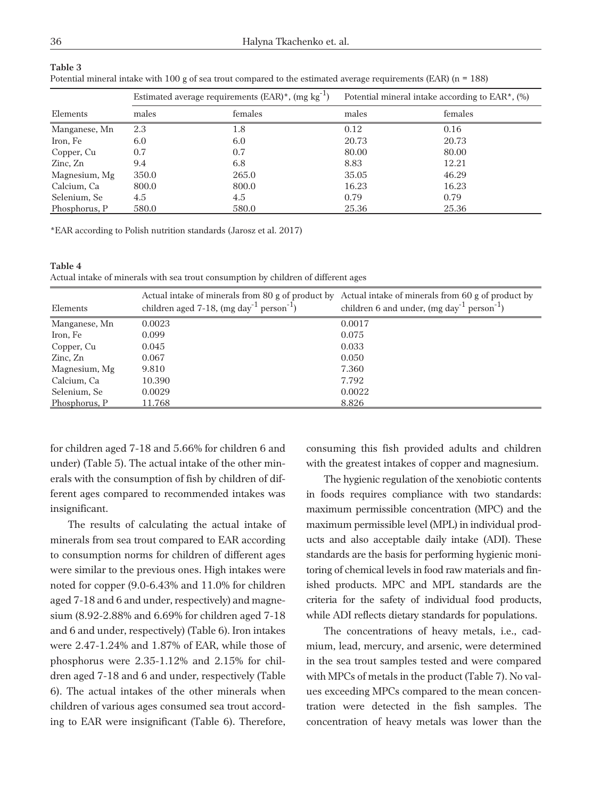**Table 3**

|               |       | Estimated average requirements (EAR)*, $(mg kg^{-1})$ |       | Potential mineral intake according to EAR <sup>*</sup> , (%) |  |
|---------------|-------|-------------------------------------------------------|-------|--------------------------------------------------------------|--|
| Elements      | males | females                                               | males | females                                                      |  |
| Manganese, Mn | 2.3   | 1.8                                                   | 0.12  | 0.16                                                         |  |
| Iron, Fe      | 6.0   | 6.0                                                   | 20.73 | 20.73                                                        |  |
| Copper, Cu    | 0.7   | 0.7                                                   | 80.00 | 80.00                                                        |  |
| Zinc, Zn      | 9.4   | 6.8                                                   | 8.83  | 12.21                                                        |  |
| Magnesium, Mg | 350.0 | 265.0                                                 | 35.05 | 46.29                                                        |  |
| Calcium, Ca   | 800.0 | 800.0                                                 | 16.23 | 16.23                                                        |  |
| Selenium, Se  | 4.5   | 4.5                                                   | 0.79  | 0.79                                                         |  |
| Phosphorus, P | 580.0 | 580.0                                                 | 25.36 | 25.36                                                        |  |

Potential mineral intake with 100 g of sea trout compared to the estimated average requirements (EAR) (n = 188)

\*EAR according to Polish nutrition standards (Jarosz et al. 2017)

**Table 4** Actual intake of minerals with sea trout consumption by children of different ages

| Elements      | children aged 7-18, $(mg \, day^{-1} \, person^{-1})$ | Actual intake of minerals from 80 g of product by Actual intake of minerals from 60 g of product by<br>children 6 and under, $(mg \, day^{-1} \, person^{-1})$ |
|---------------|-------------------------------------------------------|----------------------------------------------------------------------------------------------------------------------------------------------------------------|
| Manganese, Mn | 0.0023                                                | 0.0017                                                                                                                                                         |
| Iron, Fe      | 0.099                                                 | 0.075                                                                                                                                                          |
| Copper, Cu    | 0.045                                                 | 0.033                                                                                                                                                          |
| Zinc, Zn      | 0.067                                                 | 0.050                                                                                                                                                          |
| Magnesium, Mg | 9.810                                                 | 7.360                                                                                                                                                          |
| Calcium, Ca   | 10.390                                                | 7.792                                                                                                                                                          |
| Selenium, Se  | 0.0029                                                | 0.0022                                                                                                                                                         |
| Phosphorus, P | 11.768                                                | 8.826                                                                                                                                                          |

for children aged 7-18 and 5.66% for children 6 and under) (Table 5). The actual intake of the other minerals with the consumption of fish by children of different ages compared to recommended intakes was insignificant.

The results of calculating the actual intake of minerals from sea trout compared to EAR according to consumption norms for children of different ages were similar to the previous ones. High intakes were noted for copper (9.0-6.43% and 11.0% for children aged 7-18 and 6 and under, respectively) and magnesium (8.92-2.88% and 6.69% for children aged 7-18 and 6 and under, respectively) (Table 6). Iron intakes were 2.47-1.24% and 1.87% of EAR, while those of phosphorus were 2.35-1.12% and 2.15% for children aged 7-18 and 6 and under, respectively (Table 6). The actual intakes of the other minerals when children of various ages consumed sea trout according to EAR were insignificant (Table 6). Therefore,

consuming this fish provided adults and children with the greatest intakes of copper and magnesium.

The hygienic regulation of the xenobiotic contents in foods requires compliance with two standards: maximum permissible concentration (MPC) and the maximum permissible level (MPL) in individual products and also acceptable daily intake (ADI). These standards are the basis for performing hygienic monitoring of chemical levels in food raw materials and finished products. MPC and MPL standards are the criteria for the safety of individual food products, while ADI reflects dietary standards for populations.

The concentrations of heavy metals, i.e., cadmium, lead, mercury, and arsenic, were determined in the sea trout samples tested and were compared with MPCs of metals in the product (Table 7). No values exceeding MPCs compared to the mean concentration were detected in the fish samples. The concentration of heavy metals was lower than the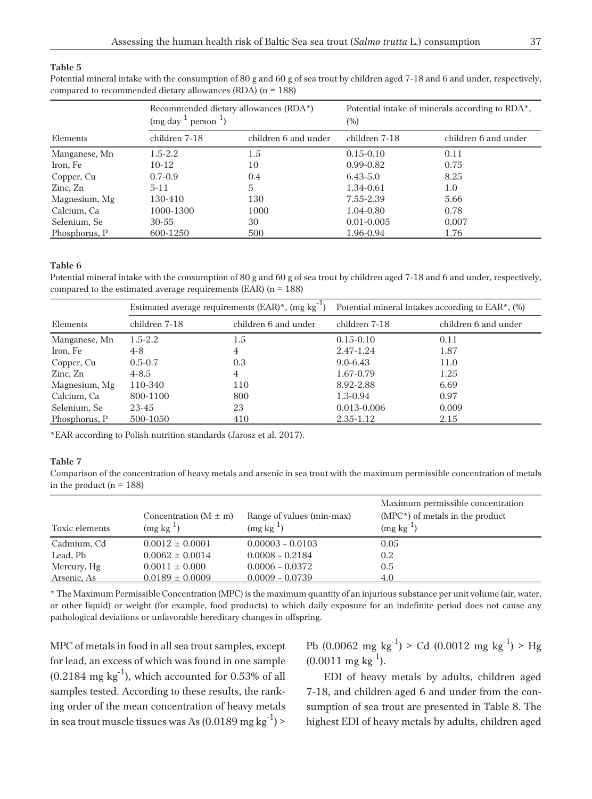Potential mineral intake with the consumption of 80 g and 60 g of sea trout by children aged 7-18 and 6 and under, respectively,

| compared to recommended dietary allowances (RDA) $(n = 188)$ |                       |                                       |                                                        |                      |  |
|--------------------------------------------------------------|-----------------------|---------------------------------------|--------------------------------------------------------|----------------------|--|
|                                                              | $(mg day-1 person-1)$ | Recommended dietary allowances (RDA*) | Potential intake of minerals according to RDA*,<br>(%) |                      |  |
| Elements                                                     | children 7-18         | children 6 and under                  | children 7-18                                          | children 6 and under |  |
| Manganese, Mn                                                | $1.5 - 2.2$           | 1.5                                   | $0.15 - 0.10$                                          | 0.11                 |  |
| Iron, Fe                                                     | $10-12$               | 10                                    | $0.99 - 0.82$                                          | 0.75                 |  |
| Copper, Cu                                                   | $0.7 - 0.9$           | 0.4                                   | $6.43 - 5.0$                                           | 8.25                 |  |
| Zinc, Zn                                                     | $5-11$                | 5                                     | 1.34-0.61                                              | 1.0                  |  |
| Magnesium, Mg                                                | 130-410               | 130                                   | 7.55-2.39                                              | 5.66                 |  |
| Calcium, Ca                                                  | 1000-1300             | 1000                                  | 1.04-0.80                                              | 0.78                 |  |
| Selenium, Se                                                 | 30-55                 | 30                                    | $0.01 - 0.005$                                         | 0.007                |  |
| Phosphorus, P                                                | 600-1250              | 500                                   | 1.96-0.94                                              | 1.76                 |  |

#### **Table 5**

#### **Table 6**

Potential mineral intake with the consumption of 80 g and 60 g of sea trout by children aged 7-18 and 6 and under, respectively, compared to the estimated average requirements (EAR) (n = 188)

|               | Estimated average requirements $(EAR)^*$ , $(mg kg^{-1})$ |                      | Potential mineral intakes according to $EAR^*$ , $(\%)$ |                      |
|---------------|-----------------------------------------------------------|----------------------|---------------------------------------------------------|----------------------|
| Elements      | children 7-18                                             | children 6 and under | children 7-18                                           | children 6 and under |
| Manganese, Mn | $1.5 - 2.2$                                               | 1.5                  | $0.15 - 0.10$                                           | 0.11                 |
| Iron, Fe      | $4 - 8$                                                   | 4                    | 2.47-1.24                                               | 1.87                 |
| Copper, Cu    | $0.5 - 0.7$                                               | 0.3                  | $9.0 - 6.43$                                            | 11.0                 |
| Zinc, Zn      | $4 - 8.5$                                                 | 4                    | 1.67-0.79                                               | 1.25                 |
| Magnesium, Mg | 110-340                                                   | 110                  | 8.92-2.88                                               | 6.69                 |
| Calcium, Ca   | 800-1100                                                  | 800                  | 1.3-0.94                                                | 0.97                 |
| Selenium, Se  | 23-45                                                     | 23                   | 0.013-0.006                                             | 0.009                |
| Phosphorus, P | 500-1050                                                  | 410                  | 2.35-1.12                                               | 2.15                 |

\*EAR according to Polish nutrition standards (Jarosz et al. 2017).

#### **Table 7**

Comparison of the concentration of heavy metals and arsenic in sea trout with the maximum permissible concentration of metals in the product  $(n = 188)$ 

|                |                           |                           | Maximum permissible concentration  |
|----------------|---------------------------|---------------------------|------------------------------------|
|                | Concentration $(M \pm m)$ | Range of values (min-max) | $(MPC^*)$ of metals in the product |
| Toxic elements | $(mg kg^{-1})$            | $(mg kg^{-1})$            | $(mg kg^{-1})$                     |
| Cadmium, Cd    | $0.0012 \pm 0.0001$       | $0.00003 - 0.0103$        | 0.05                               |
| Lead, Pb       | $0.0062 \pm 0.0014$       | $0.0008 - 0.2184$         | $0.2^{\circ}$                      |
| Mercury, Hg    | $0.0011 \pm 0.000$        | $0.0006 - 0.0372$         | 0.5                                |
| Arsenic, As    | $0.0189 \pm 0.0009$       | $0.0009 - 0.0739$         | 4.0                                |

\* The Maximum Permissible Concentration (MPC) is the maximum quantity of an injurious substance per unit volume (air, water, or other liquid) or weight (for example, food products) to which daily exposure for an indefinite period does not cause any pathological deviations or unfavorable hereditary changes in offspring.

MPC of metals in food in all sea trout samples, except for lead, an excess of which was found in one sample  $(0.2184 \text{ mg kg}^{-1})$ , which accounted for 0.53% of all samples tested. According to these results, the ranking order of the mean concentration of heavy metals in sea trout muscle tissues was As  $(0.0189 \text{ mg kg}^{-1})$  >

Pb  $(0.0062 \text{ mg kg}^{-1})$  > Cd  $(0.0012 \text{ mg kg}^{-1})$  > Hg  $(0.0011 \text{ mg kg}^{-1}).$ 

EDI of heavy metals by adults, children aged 7-18, and children aged 6 and under from the consumption of sea trout are presented in Table 8. The highest EDI of heavy metals by adults, children aged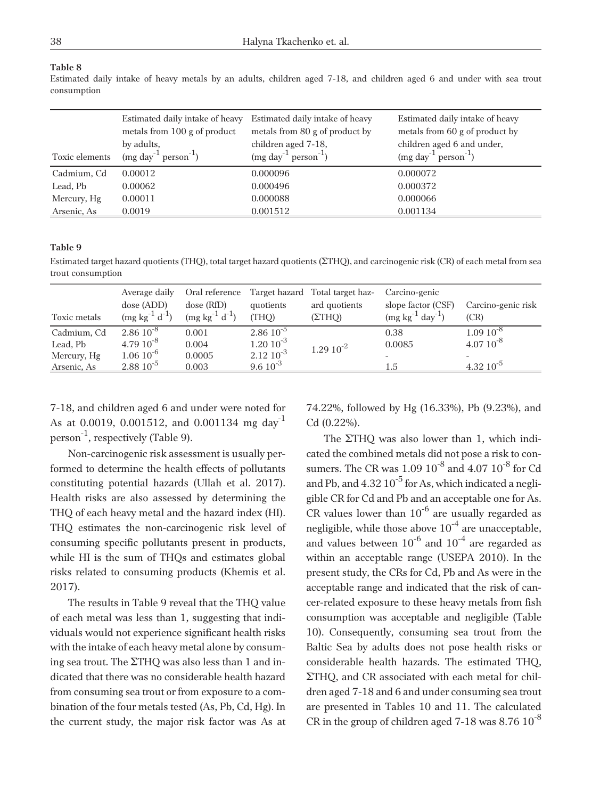#### **Table 8**

Estimated daily intake of heavy metals by an adults, children aged 7-18, and children aged 6 and under with sea trout consumption

| Toxic elements | Estimated daily intake of heavy<br>metals from 100 g of product<br>by adults,<br>$(mg day^{-1} person^{-1})$ | Estimated daily intake of heavy<br>metals from 80 g of product by<br>children aged 7-18,<br>$(mg day^{-1} person^{-1})$ | Estimated daily intake of heavy<br>metals from 60 g of product by<br>children aged 6 and under,<br>$(mg day^{-1} person^{-1})$ |
|----------------|--------------------------------------------------------------------------------------------------------------|-------------------------------------------------------------------------------------------------------------------------|--------------------------------------------------------------------------------------------------------------------------------|
| Cadmium, Cd    | 0.00012                                                                                                      | 0.000096                                                                                                                | 0.000072                                                                                                                       |
| Lead, Pb       | 0.00062                                                                                                      | 0.000496                                                                                                                | 0.000372                                                                                                                       |
| Mercury, Hg    | 0.00011                                                                                                      | 0.000088                                                                                                                | 0.000066                                                                                                                       |
| Arsenic, As    | 0.0019                                                                                                       | 0.001512                                                                                                                | 0.001134                                                                                                                       |

#### **Table 9**

Estimated target hazard quotients (THQ), total target hazard quotients (THQ), and carcinogenic risk (CR) of each metal from sea trout consumption

|              | Average daily         |                       |                 | Oral reference Target hazard Total target haz- | Carcino-genic           |                    |
|--------------|-----------------------|-----------------------|-----------------|------------------------------------------------|-------------------------|--------------------|
|              | dose (ADD)            | dose (RfD)            | quotients       | ard quotients                                  | slope factor (CSF)      | Carcino-genic risk |
| Toxic metals | $(mg kg^{-1} d^{-1})$ | $(mg kg^{-1} d^{-1})$ | (THO)           | (2THO)                                         | $(mg kg^{-1} day^{-1})$ | (CR)               |
| Cadmium, Cd  | $2.86~10^{-8}$        | 0.001                 | $2.86\ 10^{-5}$ |                                                | 0.38                    | $1.09\ 10^{-8}$    |
| Lead, Pb     | $4.79 10^{-8}$        | 0.004                 | $1.20\ 10^{-3}$ | $1.29\ 10^{-2}$                                | 0.0085                  | $4.0710^{-8}$      |
| Mercury, Hg  | $1.06\ 10^{-6}$       | 0.0005                | $2.12\ 10^{-3}$ |                                                |                         |                    |
| Arsenic, As  | $2.8810^{-5}$         | 0.003                 | $9.610^{-3}$    |                                                | 1.5                     | $4.32~10^{-5}$     |

7-18, and children aged 6 and under were noted for As at 0.0019, 0.001512, and 0.001134 mg day<sup>-1</sup> person<sup>-1</sup>, respectively (Table 9).

Non-carcinogenic risk assessment is usually performed to determine the health effects of pollutants constituting potential hazards (Ullah et al. 2017). Health risks are also assessed by determining the THQ of each heavy metal and the hazard index (HI). THQ estimates the non-carcinogenic risk level of consuming specific pollutants present in products, while HI is the sum of THQs and estimates global risks related to consuming products (Khemis et al. 2017).

The results in Table 9 reveal that the THQ value of each metal was less than 1, suggesting that individuals would not experience significant health risks with the intake of each heavy metal alone by consuming sea trout. The  $\Sigma$ THQ was also less than 1 and indicated that there was no considerable health hazard from consuming sea trout or from exposure to a combination of the four metals tested (As, Pb, Cd, Hg). In the current study, the major risk factor was As at 74.22%, followed by Hg (16.33%), Pb (9.23%), and Cd (0.22%).

The  $\Sigma$ THQ was also lower than 1, which indicated the combined metals did not pose a risk to consumers. The CR was  $1.09\ 10^{-8}$  and  $4.07\ 10^{-8}$  for Cd and Pb, and  $4.32\,10^{-5}$  for As, which indicated a negligible CR for Cd and Pb and an acceptable one for As. CR values lower than  $10^{-6}$  are usually regarded as negligible, while those above  $10^{-4}$  are unacceptable, and values between  $10^{-6}$  and  $10^{-4}$  are regarded as within an acceptable range (USEPA 2010). In the present study, the CRs for Cd, Pb and As were in the acceptable range and indicated that the risk of cancer-related exposure to these heavy metals from fish consumption was acceptable and negligible (Table 10). Consequently, consuming sea trout from the Baltic Sea by adults does not pose health risks or considerable health hazards. The estimated THQ, THQ, and CR associated with each metal for children aged 7-18 and 6 and under consuming sea trout are presented in Tables 10 and 11. The calculated CR in the group of children aged  $7-18$  was  $8.76$   $10^{-8}$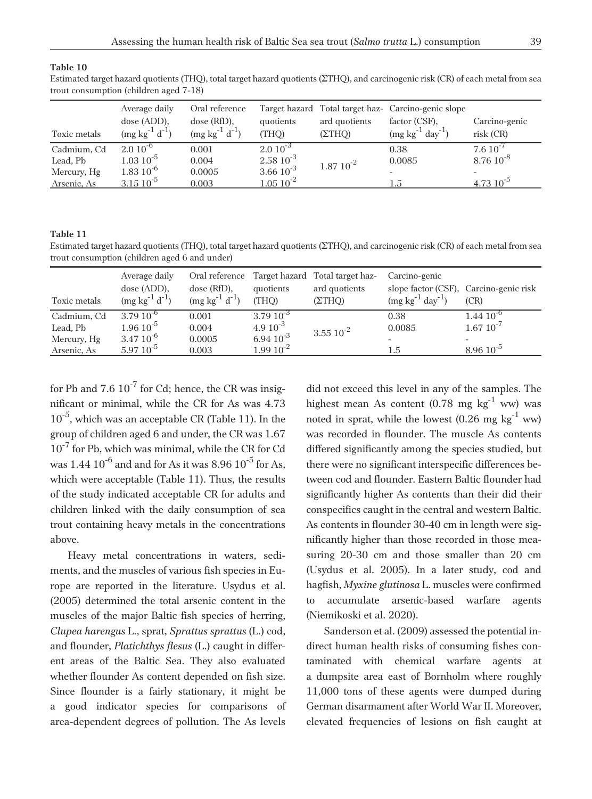| ı III |  |
|-------|--|
|-------|--|

Estimated target hazard quotients (THQ), total target hazard quotients (THQ), and carcinogenic risk (CR) of each metal from sea trout consumption (children aged 7-18)

| Toxic metals | Average daily<br>dose (ADD),<br>$(mg kg^{-1} d^{-1})$ | Oral reference<br>dose (RfD),<br>$(mg kg^{-1} d^{-1})$ | quotients<br>(THO) | ard quotients<br>(2THO) | Target hazard Total target haz- Carcino-genic slope<br>factor (CSF),<br>$\text{ (mg kg}^{-1} \text{ day}^{-1})$ | Carcino-genic<br>$risk$ (CR) |
|--------------|-------------------------------------------------------|--------------------------------------------------------|--------------------|-------------------------|-----------------------------------------------------------------------------------------------------------------|------------------------------|
| Cadmium, Cd  | $2.010^{-6}$                                          | 0.001                                                  | $2.010^{-3}$       |                         | 0.38                                                                                                            | $7.610^{-7}$                 |
| Lead, Pb     | $1.03\ 10^{-5}$                                       | 0.004                                                  | $2.58\ 10^{-3}$    | $1.87~10^{-2}$          | 0.0085                                                                                                          | $8.76 10^{-8}$               |
| Mercury, Hg  | $1.83\ 10^{-6}$                                       | 0.0005                                                 | $3.66\ 10^{-3}$    |                         |                                                                                                                 |                              |
| Arsenic, As  | $3.15\ 10^{-5}$                                       | 0.003                                                  | $1.05\ 10^{-2}$    |                         | 1.5                                                                                                             | $4.73\ 10^{-5}$              |

#### **Table 11**

Estimated target hazard quotients (THQ), total target hazard quotients (THQ), and carcinogenic risk (CR) of each metal from sea trout consumption (children aged 6 and under)

|              | Average daily<br>dose (ADD), | dose (RfD),           | quotients       | Oral reference Target hazard Total target haz-<br>ard quotients | Carcino-genic           | slope factor (CSF), Carcino-genic risk |
|--------------|------------------------------|-----------------------|-----------------|-----------------------------------------------------------------|-------------------------|----------------------------------------|
| Toxic metals | $(mg kg^{-1} d^{-1})$        | $(mg kg^{-1} d^{-1})$ | (THO)           | (2THO)                                                          | $(mg kg^{-1} day^{-1})$ | (CR)                                   |
| Cadmium, Cd  | $3.79 10^{-6}$               | 0.001                 | $3.7910^{-3}$   |                                                                 | 0.38                    | $1.44~10^{-6}$                         |
| Lead, Pb     | $1.96\ 10^{-5}$              | 0.004                 | $4.9 10^{-3}$   | $3.55\ 10^{-2}$                                                 | 0.0085                  | $1.67~10^{-7}$                         |
| Mercury, Hg  | $3.47~10^{-6}$               | 0.0005                | $6.94 10^{-3}$  |                                                                 |                         |                                        |
| Arsenic, As  | $5.97~10^{-5}$               | 0.003                 | $1.99\ 10^{-2}$ |                                                                 | 1.5                     | $8.96 10^{-5}$                         |

for Pb and  $7.6 \times 10^{-7}$  for Cd; hence, the CR was insignificant or minimal, while the CR for As was 4.73  $10^{-5}$ , which was an acceptable CR (Table 11). In the group of children aged 6 and under, the CR was 1.67 10<sup>-7</sup> for Pb, which was minimal, while the CR for Cd was  $1.44\ 10^{-6}$  and and for As it was  $8.96\ 10^{-5}$  for As, which were acceptable (Table 11). Thus, the results of the study indicated acceptable CR for adults and children linked with the daily consumption of sea trout containing heavy metals in the concentrations above.

Heavy metal concentrations in waters, sediments, and the muscles of various fish species in Europe are reported in the literature. Usydus et al. (2005) determined the total arsenic content in the muscles of the major Baltic fish species of herring, *Clupea harengus* L., sprat, *Sprattus sprattus* (L.) cod, and flounder, *Platichthys flesus* (L.) caught in different areas of the Baltic Sea. They also evaluated whether flounder As content depended on fish size. Since flounder is a fairly stationary, it might be a good indicator species for comparisons of area-dependent degrees of pollution. The As levels

did not exceed this level in any of the samples. The highest mean As content  $(0.78 \text{ mg kg}^{-1} \text{ ww})$  was noted in sprat, while the lowest  $(0.26 \text{ mg kg}^{-1} \text{ ww})$ was recorded in flounder. The muscle As contents differed significantly among the species studied, but there were no significant interspecific differences between cod and flounder. Eastern Baltic flounder had significantly higher As contents than their did their conspecifics caught in the central and western Baltic. As contents in flounder 30-40 cm in length were significantly higher than those recorded in those measuring 20-30 cm and those smaller than 20 cm (Usydus et al. 2005). In a later study, cod and hagfish, *Myxine glutinosa* L. muscles were confirmed to accumulate arsenic-based warfare agents (Niemikoski et al. 2020).

Sanderson et al. (2009) assessed the potential indirect human health risks of consuming fishes contaminated with chemical warfare agents at a dumpsite area east of Bornholm where roughly 11,000 tons of these agents were dumped during German disarmament after World War II. Moreover, elevated frequencies of lesions on fish caught at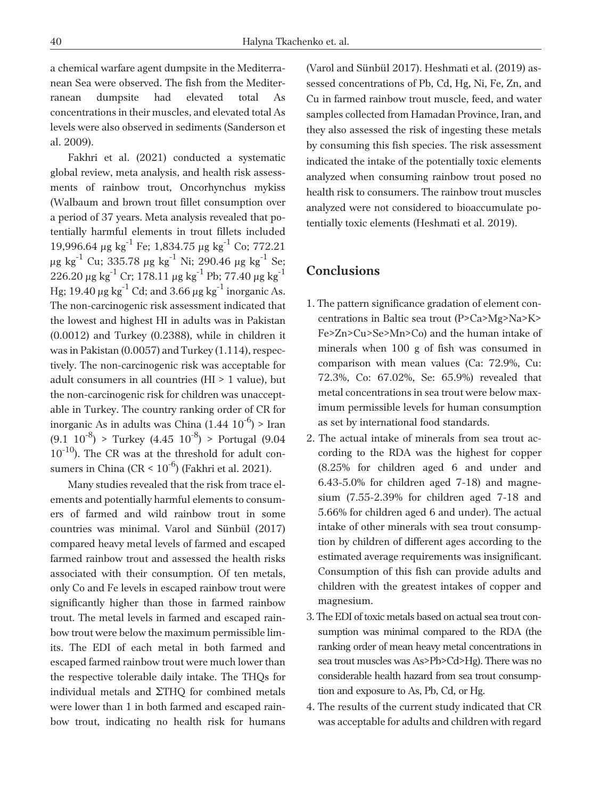a chemical warfare agent dumpsite in the Mediterranean Sea were observed. The fish from the Mediterranean dumpsite had elevated total As concentrations in their muscles, and elevated total As levels were also observed in sediments (Sanderson et al. 2009).

Fakhri et al. (2021) conducted a systematic global review, meta analysis, and health risk assessments of rainbow trout, Oncorhynchus mykiss (Walbaum and brown trout fillet consumption over a period of 37 years. Meta analysis revealed that potentially harmful elements in trout fillets included 19,996.64  $\mu$ g kg<sup>-1</sup> Fe; 1,834.75  $\mu$ g kg<sup>-1</sup> Co; 772.21  $\mu$ g kg<sup>-1</sup> Cu; 335.78  $\mu$ g kg<sup>-1</sup> Ni; 290.46  $\mu$ g kg<sup>-1</sup> Se; 226.20  $\mu$ g kg<sup>-1</sup> Cr; 178.11  $\mu$ g kg<sup>-1</sup> Pb; 77.40  $\mu$ g kg<sup>-1</sup> Hg; 19.40  $\mu$ g kg<sup>-1</sup> Cd; and 3.66  $\mu$ g kg<sup>-1</sup> inorganic As. The non-carcinogenic risk assessment indicated that the lowest and highest HI in adults was in Pakistan (0.0012) and Turkey (0.2388), while in children it was in Pakistan (0.0057) and Turkey (1.114), respectively. The non-carcinogenic risk was acceptable for adult consumers in all countries ( $HI > 1$  value), but the non-carcinogenic risk for children was unacceptable in Turkey. The country ranking order of CR for inorganic As in adults was China  $(1.44 \ 10^{-6})$  > Iran  $(9.1 \t10^{-8})$  > Turkey  $(4.45 \t10^{-8})$  > Portugal  $(9.04$  $10^{-10}$ ). The CR was at the threshold for adult consumers in China  $(CR < 10^{-6})$  (Fakhri et al. 2021).

Many studies revealed that the risk from trace elements and potentially harmful elements to consumers of farmed and wild rainbow trout in some countries was minimal. Varol and Sünbül (2017) compared heavy metal levels of farmed and escaped farmed rainbow trout and assessed the health risks associated with their consumption. Of ten metals, only Co and Fe levels in escaped rainbow trout were significantly higher than those in farmed rainbow trout. The metal levels in farmed and escaped rainbow trout were below the maximum permissible limits. The EDI of each metal in both farmed and escaped farmed rainbow trout were much lower than the respective tolerable daily intake. The THQs for individual metals and  $\Sigma$ THQ for combined metals were lower than 1 in both farmed and escaped rainbow trout, indicating no health risk for humans

(Varol and Sünbül 2017). Heshmati et al. (2019) assessed concentrations of Pb, Cd, Hg, Ni, Fe, Zn, and Cu in farmed rainbow trout muscle, feed, and water samples collected from Hamadan Province, Iran, and they also assessed the risk of ingesting these metals by consuming this fish species. The risk assessment indicated the intake of the potentially toxic elements analyzed when consuming rainbow trout posed no health risk to consumers. The rainbow trout muscles analyzed were not considered to bioaccumulate potentially toxic elements (Heshmati et al. 2019).

# **Conclusions**

- 1. The pattern significance gradation of element concentrations in Baltic sea trout (P>Ca>Mg>Na>K> Fe>Zn>Cu>Se>Mn>Co) and the human intake of minerals when 100 g of fish was consumed in comparison with mean values (Ca: 72.9%, Cu: 72.3%, Co: 67.02%, Se: 65.9%) revealed that metal concentrations in sea trout were below maximum permissible levels for human consumption as set by international food standards.
- 2. The actual intake of minerals from sea trout according to the RDA was the highest for copper (8.25% for children aged 6 and under and 6.43-5.0% for children aged 7-18) and magnesium (7.55-2.39% for children aged 7-18 and 5.66% for children aged 6 and under). The actual intake of other minerals with sea trout consumption by children of different ages according to the estimated average requirements was insignificant. Consumption of this fish can provide adults and children with the greatest intakes of copper and magnesium.
- 3. The EDI of toxic metals based on actual sea trout consumption was minimal compared to the RDA (the ranking order of mean heavy metal concentrations in sea trout muscles was As>Pb>Cd>Hg). There was no considerable health hazard from sea trout consumption and exposure to As, Pb, Cd, or Hg.
- 4. The results of the current study indicated that CR was acceptable for adults and children with regard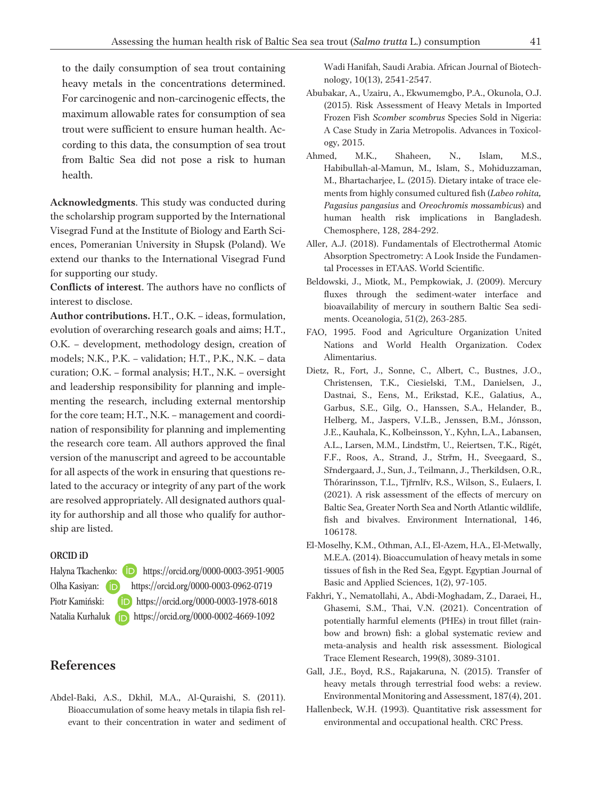to the daily consumption of sea trout containing heavy metals in the concentrations determined. For carcinogenic and non-carcinogenic effects, the maximum allowable rates for consumption of sea trout were sufficient to ensure human health. According to this data, the consumption of sea trout from Baltic Sea did not pose a risk to human health.

**Acknowledgments**. This study was conducted during the scholarship program supported by the International Visegrad Fund at the Institute of Biology and Earth Sciences, Pomeranian University in Słupsk (Poland). We extend our thanks to the International Visegrad Fund for supporting our study.

**Conflicts of interest**. The authors have no conflicts of interest to disclose.

**Author contributions.** H.T., O.K. – ideas, formulation, evolution of overarching research goals and aims; H.T., O.K. – development, methodology design, creation of models; N.K., P.K. – validation; H.T., P.K., N.K. – data curation; O.K. – formal analysis; H.T., N.K. – oversight and leadership responsibility for planning and implementing the research, including external mentorship for the core team; H.T., N.K. – management and coordination of responsibility for planning and implementing the research core team. All authors approved the final version of the manuscript and agreed to be accountable for all aspects of the work in ensuring that questions related to the accuracy or integrity of any part of the work are resolved appropriately. All designated authors quality for authorship and all those who qualify for authorship are listed.

#### **ORCID iD**

Halyna Tkachenko: **https://orcid.org/0000-0003-3951-9005** Olha Kasiyan: **(i)** https://orcid.org/0000-0003-0962-0719 Piotr Kamiński: (iD) https://orcid.org/0000-0003-1978-6018 Natalia Kurhaluk **https://orcid.org/0000-0002-4669-1092** 

# **References**

Abdel-Baki, A.S., Dkhil, M.A., Al-Quraishi, S. (2011). Bioaccumulation of some heavy metals in tilapia fish relevant to their concentration in water and sediment of Wadi Hanifah, Saudi Arabia. African Journal of Biotechnology, 10(13), 2541-2547.

- Abubakar, A., Uzairu, A., Ekwumemgbo, P.A., Okunola, O.J. (2015). Risk Assessment of Heavy Metals in Imported Frozen Fish *Scomber scombrus* Species Sold in Nigeria: A Case Study in Zaria Metropolis. Advances in Toxicology, 2015.
- Ahmed, M.K., Shaheen, N., Islam, M.S., Habibullah-al-Mamun, M., Islam, S., Mohiduzzaman, M., Bhartacharjee, L. (2015). Dietary intake of trace elements from highly consumed cultured fish (*Labeo rohita, Pagasius pangasius* and *Oreochromis mossambicus*) and human health risk implications in Bangladesh. Chemosphere, 128, 284-292.
- Aller, A.J. (2018). Fundamentals of Electrothermal Atomic Absorption Spectrometry: A Look Inside the Fundamental Processes in ETAAS. World Scientific.
- Beldowski, J., Miotk, M., Pempkowiak, J. (2009). Mercury fluxes through the sediment-water interface and bioavailability of mercury in southern Baltic Sea sediments. Oceanologia, 51(2), 263-285.
- FAO, 1995. Food and Agriculture Organization United Nations and World Health Organization. Codex Alimentarius.
- Dietz, R., Fort, J., Sonne, C., Albert, C., Bustnes, J.O., Christensen, T.K., Ciesielski, T.M., Danielsen, J., Dastnai, S., Eens, M., Erikstad, K.E., Galatius, A., Garbus, S.E., Gilg, O., Hanssen, S.A., Helander, B., Helberg, M., Jaspers, V.L.B., Jenssen, B.M., Jónsson, J.E., Kauhala, K., Kolbeinsson, Y., Kyhn, L.A., Labansen, A.L., Larsen, M.M., Lindstřm, U., Reiertsen, T.K., Rigét, F.F., Roos, A., Strand, J., Strřm, H., Sveegaard, S., Sřndergaard, J., Sun, J., Teilmann, J., Therkildsen, O.R., Thórarinsson, T.L., Tjřrnlřv, R.S., Wilson, S., Eulaers, I. (2021). A risk assessment of the effects of mercury on Baltic Sea, Greater North Sea and North Atlantic wildlife, fish and bivalves. Environment International, 146, 106178.
- El-Moselhy, K.M., Othman, A.I., El-Azem, H.A., El-Metwally, M.E.A. (2014). Bioaccumulation of heavy metals in some tissues of fish in the Red Sea, Egypt. Egyptian Journal of Basic and Applied Sciences, 1(2), 97-105.
- Fakhri, Y., Nematollahi, A., Abdi-Moghadam, Z., Daraei, H., Ghasemi, S.M., Thai, V.N. (2021). Concentration of potentially harmful elements (PHEs) in trout fillet (rainbow and brown) fish: a global systematic review and meta-analysis and health risk assessment. Biological Trace Element Research, 199(8), 3089-3101.
- Gall, J.E., Boyd, R.S., Rajakaruna, N. (2015). Transfer of heavy metals through terrestrial food webs: a review. Environmental Monitoring and Assessment, 187(4), 201.
- Hallenbeck, W.H. (1993). Quantitative risk assessment for environmental and occupational health. CRC Press.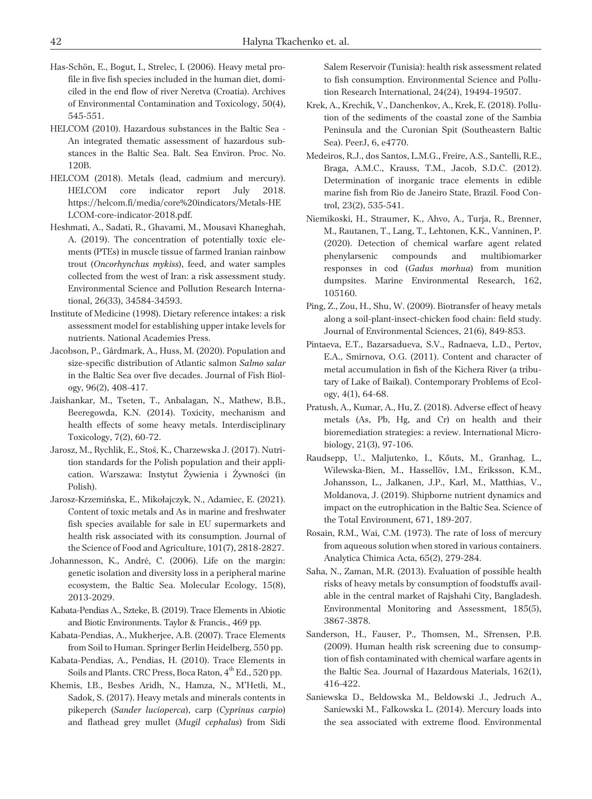- Has-Schön, E., Bogut, I., Strelec, I. (2006). Heavy metal profile in five fish species included in the human diet, domiciled in the end flow of river Neretva (Croatia). Archives of Environmental Contamination and Toxicology, 50(4), 545-551.
- HELCOM (2010). Hazardous substances in the Baltic Sea An integrated thematic assessment of hazardous substances in the Baltic Sea. Balt. Sea Environ. Proc. No. 120B.
- HELCOM (2018). Metals (lead, cadmium and mercury). HELCOM core indicator report July 2018. https://helcom.fi/media/core%20indicators/Metals-HE LCOM-core-indicator-2018.pdf.
- Heshmati, A., Sadati, R., Ghavami, M., Mousavi Khaneghah, A. (2019). The concentration of potentially toxic elements (PTEs) in muscle tissue of farmed Iranian rainbow trout (*Oncorhynchus mykiss*), feed, and water samples collected from the west of Iran: a risk assessment study. Environmental Science and Pollution Research International, 26(33), 34584-34593.
- Institute of Medicine (1998). Dietary reference intakes: a risk assessment model for establishing upper intake levels for nutrients. National Academies Press.
- Jacobson, P., Gårdmark, A., Huss, M. (2020). Population and size-specific distribution of Atlantic salmon *Salmo salar* in the Baltic Sea over five decades. Journal of Fish Biology, 96(2), 408-417.
- Jaishankar, M., Tseten, T., Anbalagan, N., Mathew, B.B., Beeregowda, K.N. (2014). Toxicity, mechanism and health effects of some heavy metals. Interdisciplinary Toxicology, 7(2), 60-72.
- Jarosz, M., Rychlik, E., Stoś, K., Charzewska J. (2017). Nutrition standards for the Polish population and their application. Warszawa: Instytut Żywienia i Żywności (in Polish).
- Jarosz-Krzemińska, E., Mikołajczyk, N., Adamiec, E. (2021). Content of toxic metals and As in marine and freshwater fish species available for sale in EU supermarkets and health risk associated with its consumption. Journal of the Science of Food and Agriculture, 101(7), 2818-2827.
- Johannesson, K., André, C. (2006). Life on the margin: genetic isolation and diversity loss in a peripheral marine ecosystem, the Baltic Sea. Molecular Ecology, 15(8), 2013-2029.
- Kabata-Pendias A., Szteke, B. (2019). Trace Elements in Abiotic and Biotic Environments. Taylor & Francis., 469 pp.
- Kabata-Pendias, A., Mukherjee, A.B. (2007). Trace Elements from Soil to Human. Springer Berlin Heidelberg, 550 pp.
- Kabata-Pendias, A., Pendias, H. (2010). Trace Elements in Soils and Plants. CRC Press, Boca Raton,  $4<sup>th</sup>$  Ed., 520 pp.
- Khemis, I.B., Besbes Aridh, N., Hamza, N., M'Hetli, M., Sadok, S. (2017). Heavy metals and minerals contents in pikeperch (*Sander lucioperca*), carp (*Cyprinus carpio*) and flathead grey mullet (*Mugil cephalus*) from Sidi

Salem Reservoir (Tunisia): health risk assessment related to fish consumption. Environmental Science and Pollution Research International, 24(24), 19494-19507.

- Krek, A., Krechik, V., Danchenkov, A., Krek, E. (2018). Pollution of the sediments of the coastal zone of the Sambia Peninsula and the Curonian Spit (Southeastern Baltic Sea). PeerJ, 6, e4770.
- Medeiros, R.J., dos Santos, L.M.G., Freire, A.S., Santelli, R.E., Braga, A.M.C., Krauss, T.M., Jacob, S.D.C. (2012). Determination of inorganic trace elements in edible marine fish from Rio de Janeiro State, Brazil. Food Control, 23(2), 535-541.
- Niemikoski, H., Straumer, K., Ahvo, A., Turja, R., Brenner, M., Rautanen, T., Lang, T., Lehtonen, K.K., Vanninen, P. (2020). Detection of chemical warfare agent related phenylarsenic compounds and multibiomarker responses in cod (*Gadus morhua*) from munition dumpsites. Marine Environmental Research, 162, 105160.
- Ping, Z., Zou, H., Shu, W. (2009). Biotransfer of heavy metals along a soil-plant-insect-chicken food chain: field study. Journal of Environmental Sciences, 21(6), 849-853.
- Pintaeva, E.T., Bazarsadueva, S.V., Radnaeva, L.D., Pertov, E.A., Smirnova, O.G. (2011). Content and character of metal accumulation in fish of the Kichera River (a tributary of Lake of Baikal). Contemporary Problems of Ecology, 4(1), 64-68.
- Pratush, A., Kumar, A., Hu, Z. (2018). Adverse effect of heavy metals (As, Pb, Hg, and Cr) on health and their bioremediation strategies: a review. International Microbiology, 21(3), 97-106.
- Raudsepp, U., Maljutenko, I., Kõuts, M., Granhag, L., Wilewska-Bien, M., Hassellöv, I.M., Eriksson, K.M., Johansson, L., Jalkanen, J.P., Karl, M., Matthias, V., Moldanova, J. (2019). Shipborne nutrient dynamics and impact on the eutrophication in the Baltic Sea. Science of the Total Environment, 671, 189-207.
- Rosain, R.M., Wai, C.M. (1973). The rate of loss of mercury from aqueous solution when stored in various containers. Analytica Chimica Acta, 65(2), 279-284.
- Saha, N., Zaman, M.R. (2013). Evaluation of possible health risks of heavy metals by consumption of foodstuffs available in the central market of Rajshahi City, Bangladesh. Environmental Monitoring and Assessment, 185(5), 3867-3878.
- Sanderson, H., Fauser, P., Thomsen, M., Sřrensen, P.B. (2009). Human health risk screening due to consumption of fish contaminated with chemical warfare agents in the Baltic Sea. Journal of Hazardous Materials, 162(1), 416-422.
- Saniewska D., Beldowska M., Beldowski J., Jedruch A., Saniewski M., Falkowska L. (2014). Mercury loads into the sea associated with extreme flood. Environmental